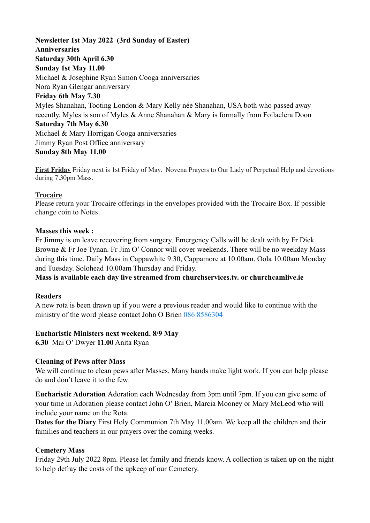**Newsletter 1st May 2022 (3rd Sunday of Easter) Anniversaries Saturday 30th April 6.30 Sunday 1st May 11.00**  Michael & Josephine Ryan Simon Cooga anniversaries Nora Ryan Glengar anniversary **Friday 6th May 7.30**  Myles Shanahan, Tooting London & Mary Kelly née Shanahan, USA both who passed away recently. Myles is son of Myles & Anne Shanahan & Mary is formally from Foilaclera Doon **Saturday 7th May 6.30**  Michael & Mary Horrigan Cooga anniversaries Jimmy Ryan Post Office anniversary **Sunday 8th May 11.00** 

**First Friday** Friday next is 1st Friday of May. Novena Prayers to Our Lady of Perpetual Help and devotions during 7.30pm Mass.

#### **Trocaire**

Please return your Trocaire offerings in the envelopes provided with the Trocaire Box. If possible change coin to Notes.

#### **Masses this week :**

Fr Jimmy is on leave recovering from surgery. Emergency Calls will be dealt with by Fr Dick Browne & Fr Joe Tynan. Fr Jim O' Connor will cover weekends. There will be no weekday Mass during this time. Daily Mass in Cappawhite 9.30, Cappamore at 10.00am. Oola 10.00am Monday and Tuesday. Solohead 10.00am Thursday and Friday.

**Mass is available each day live streamed from churchservices.tv. or [churchcamlive.ie](http://churchcamlive.ie)** 

#### **Readers**

A new rota is been drawn up if you were a previous reader and would like to continue with the ministry of the word please contact John O Brien 086 8586304

#### **Eucharistic Ministers next weekend. 8/9 May**

**6.30** Mai O' Dwyer **11.00** Anita Ryan

#### **Cleaning of Pews after Mass**

We will continue to clean pews after Masses. Many hands make light work. If you can help please do and don't leave it to the few.

**Eucharistic Adoration** Adoration each Wednesday from 3pm until 7pm. If you can give some of your time in Adoration please contact John O' Brien, Marcia Mooney or Mary McLeod who will include your name on the Rota.

**Dates for the Diary** First Holy Communion 7th May 11.00am. We keep all the children and their families and teachers in our prayers over the coming weeks.

#### **Cemetery Mass**

Friday 29th July 2022 8pm. Please let family and friends know. A collection is taken up on the night to help defray the costs of the upkeep of our Cemetery.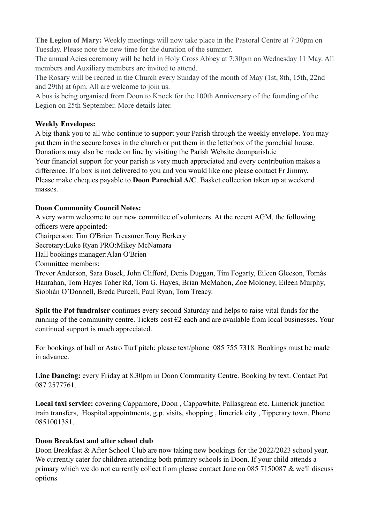**The Legion of Mary:** Weekly meetings will now take place in the Pastoral Centre at 7:30pm on Tuesday. Please note the new time for the duration of the summer.

The annual Acies ceremony will be held in Holy Cross Abbey at 7:30pm on Wednesday 11 May. All members and Auxiliary members are invited to attend.

The Rosary will be recited in the Church every Sunday of the month of May (1st, 8th, 15th, 22nd and 29th) at 6pm. All are welcome to join us.

A bus is being organised from Doon to Knock for the 100th Anniversary of the founding of the Legion on 25th September. More details later.

## **Weekly Envelopes:**

A big thank you to all who continue to support your Parish through the weekly envelope. You may put them in the secure boxes in the church or put them in the letterbox of the parochial house. Donations may also be made on line by visiting the Parish Website [doonparish.ie](http://doonparish.ie) Your financial support for your parish is very much appreciated and every contribution makes a difference. If a box is not delivered to you and you would like one please contact Fr Jimmy. Please make cheques payable to **Doon Parochial A/C**. Basket collection taken up at weekend masses.

## **Doon Community Council Notes:**

A very warm welcome to our new committee of volunteers. At the recent AGM, the following officers were appointed:

Chairperson: Tim O'Brien Treasurer:Tony Berkery

Secretary:Luke Ryan PRO:Mikey McNamara

Hall bookings manager:Alan O'Brien

Committee members:

Trevor Anderson, Sara Bosek, John Clifford, Denis Duggan, Tim Fogarty, Eileen Gleeson, Tomás Hanrahan, Tom Hayes Toher Rd, Tom G. Hayes, Brian McMahon, Zoe Moloney, Eileen Murphy, Siobhán O'Donnell, Breda Purcell, Paul Ryan, Tom Treacy.

**Split the Pot fundraiser** continues every second Saturday and helps to raise vital funds for the running of the community centre. Tickets cost €2 each and are available from local businesses. Your continued support is much appreciated.

For bookings of hall or Astro Turf pitch: please text/phone 085 755 7318. Bookings must be made in advance.

**Line Dancing:** every Friday at 8.30pm in Doon Community Centre. Booking by text. Contact Pat 087 2577761.

**Local taxi service:** covering Cappamore, Doon , Cappawhite, Pallasgrean etc. Limerick junction train transfers, Hospital appointments, g.p. visits, shopping , limerick city , Tipperary town. Phone 0851001381.

# **Doon Breakfast and after school club**

Doon Breakfast & After School Club are now taking new bookings for the 2022/2023 school year. We currently cater for children attending both primary schools in Doon. If your child attends a primary which we do not currently collect from please contact Jane on 085 7150087 & we'll discuss options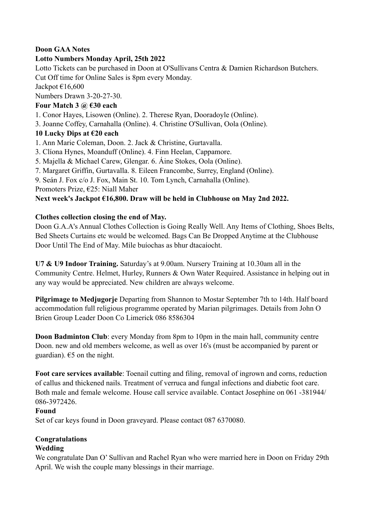## **Doon GAA Notes**

### **Lotto Numbers Monday April, 25th 2022**

Lotto Tickets can be purchased in Doon at O'Sullivans Centra & Damien Richardson Butchers. Cut Off time for Online Sales is 8pm every Monday.

Jackpot €16,600

Numbers Drawn 3-20-27-30.

## **Four Match 3 @ €30 each**

1. Conor Hayes, Lisowen (Online). 2. Therese Ryan, Dooradoyle (Online).

3. Joanne Coffey, Carnahalla (Online). 4. Christine O'Sullivan, Oola (Online).

## **10 Lucky Dips at €20 each**

1. Ann Marie Coleman, Doon. 2. Jack & Christine, Gurtavalla.

- 3. Clíona Hynes, Moanduff (Online). 4. Finn Heelan, Cappamore.
- 5. Majella & Michael Carew, Glengar. 6. Áine Stokes, Oola (Online).
- 7. Margaret Griffin, Gurtavalla. 8. Eileen Francombe, Surrey, England (Online).

9. Seán J. Fox c/o J. Fox, Main St. 10. Tom Lynch, Carnahalla (Online).

Promoters Prize, €25: Niall Maher

### **Next week's Jackpot €16,800. Draw will be held in Clubhouse on May 2nd 2022.**

### **Clothes collection closing the end of May.**

Doon G.A.A's Annual Clothes Collection is Going Really Well. Any Items of Clothing, Shoes Belts, Bed Sheets Curtains etc would be welcomed. Bags Can Be Dropped Anytime at the Clubhouse Door Until The End of May. Míle buíochas as bhur dtacaíocht.

**U7 & U9 Indoor Training.** Saturday's at 9.00am. Nursery Training at 10.30am all in the Community Centre. Helmet, Hurley, Runners & Own Water Required. Assistance in helping out in any way would be appreciated. New children are always welcome.

**Pilgrimage to Medjugorje** Departing from Shannon to Mostar September 7th to 14th. Half board accommodation full religious programme operated by Marian pilgrimages. Details from John O Brien Group Leader Doon Co Limerick 086 8586304

**Doon Badminton Club**: every Monday from 8pm to 10pm in the main hall, community centre Doon. new and old members welcome, as well as over 16's (must be accompanied by parent or guardian).  $65$  on the night.

**Foot care services available**: Toenail cutting and filing, removal of ingrown and corns, reduction of callus and thickened nails. Treatment of verruca and fungal infections and diabetic foot care. Both male and female welcome. House call service available. Contact Josephine on 061 -381944/ 086-3972426.

### **Found**

Set of car keys found in Doon graveyard. Please contact 087 6370080.

# **Congratulations**

### **Wedding**

We congratulate Dan O' Sullivan and Rachel Ryan who were married here in Doon on Friday 29th April. We wish the couple many blessings in their marriage.